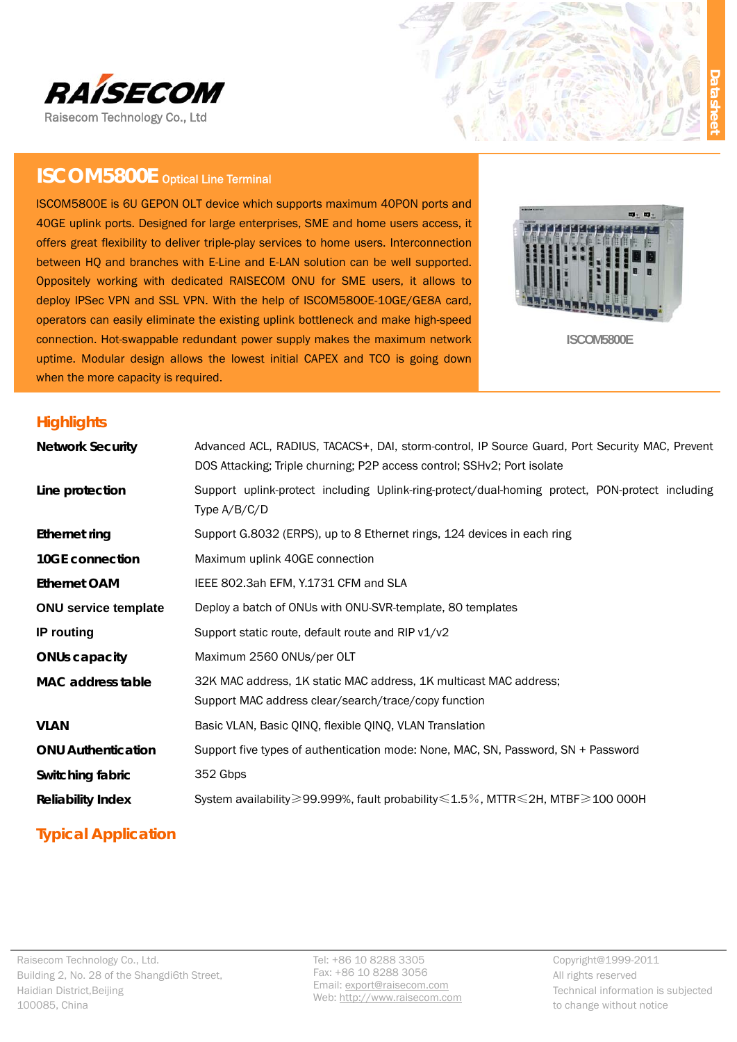

# **ISCOM5800E** Optical Line Terminal

ISCOM5800E is 6U GEPON OLT device which supports maximum 40PON ports and 40GE uplink ports. Designed for large enterprises, SME and home users access, it offers great flexibility to deliver triple-play services to home users. Interconnection between HQ and branches with E-Line and E-LAN solution can be well supported. Oppositely working with dedicated RAISECOM ONU for SME users, it allows to deploy IPSec VPN and SSL VPN. With the help of ISCOM5800E-10GE/GE8A card, operators can easily eliminate the existing uplink bottleneck and make high-speed connection. Hot-swappable redundant power supply makes the maximum network uptime. Modular design allows the lowest initial CAPEX and TCO is going down when the more capacity is required.



**ISCOM5800E** 

### **Highlights**

| <b>Network Security</b>     | Advanced ACL, RADIUS, TACACS+, DAI, storm-control, IP Source Guard, Port Security MAC, Prevent<br>DOS Attacking; Triple churning; P2P access control; SSHv2; Port isolate |
|-----------------------------|---------------------------------------------------------------------------------------------------------------------------------------------------------------------------|
| Line protection             | Support uplink-protect including Uplink-ring-protect/dual-homing protect, PON-protect including<br>Type $A/B/C/D$                                                         |
| Ethernet ring               | Support G.8032 (ERPS), up to 8 Ethernet rings, 124 devices in each ring                                                                                                   |
| 10GE connection             | Maximum uplink 40GE connection                                                                                                                                            |
| <b>Ethernet OAM</b>         | IEEE 802.3ah EFM, Y.1731 CFM and SLA                                                                                                                                      |
| <b>ONU service template</b> | Deploy a batch of ONUs with ONU-SVR-template, 80 templates                                                                                                                |
| IP routing                  | Support static route, default route and RIP v1/v2                                                                                                                         |
| <b>ONUs capacity</b>        | Maximum 2560 ONUs/per OLT                                                                                                                                                 |
| <b>MAC</b> address table    | 32K MAC address, 1K static MAC address, 1K multicast MAC address;<br>Support MAC address clear/search/trace/copy function                                                 |
| <b>VLAN</b>                 | Basic VLAN, Basic QINQ, flexible QINQ, VLAN Translation                                                                                                                   |
| <b>ONU Authentication</b>   | Support five types of authentication mode: None, MAC, SN, Password, SN + Password                                                                                         |
| Switching fabric            | 352 Gbps                                                                                                                                                                  |
| <b>Reliability Index</b>    | System availability≥99.999%, fault probability≤1.5%, MTTR ≤2H, MTBF≥100 000H                                                                                              |

# **Typical Application**

Tel: +86 10 8288 3305 Fax: +86 10 8288 3056 Email: export@raisecom.com Web: http://www.raisecom.com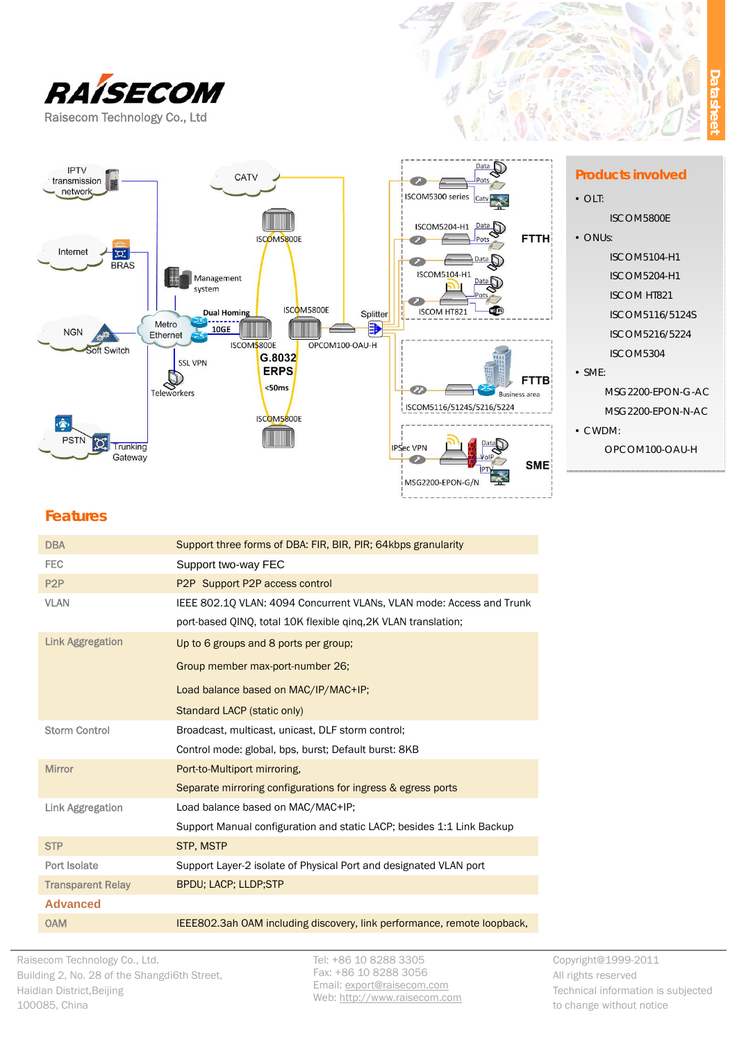



#### **Products involved**

- $\bullet$  OLT:
	- ISCOM5800E
- ONUs:
	- ISCOM5104-H1
	- ISCOM5204-H1
	- ISCOM HT821
	- ISCOM5116/5124S
	- ISCOM5216/5224
	- ISCOM5304
- $\bullet$  SME:
	- MSG2200-EPON-G-AC MSG2200-EPON-N-AC
- CWDM:
	- OPCOM100-OAU-H

# **Features**

| <b>DBA</b>               | Support three forms of DBA: FIR, BIR, PIR; 64kbps granularity           |  |
|--------------------------|-------------------------------------------------------------------------|--|
| <b>FEC</b>               | Support two-way FEC                                                     |  |
| P <sub>2</sub> P         | P2P Support P2P access control                                          |  |
| <b>VLAN</b>              | IEEE 802.1Q VLAN: 4094 Concurrent VLANs, VLAN mode: Access and Trunk    |  |
|                          | port-based QINQ, total 10K flexible ging, 2K VLAN translation;          |  |
| <b>Link Aggregation</b>  | Up to 6 groups and 8 ports per group;                                   |  |
|                          | Group member max-port-number 26;                                        |  |
|                          | Load balance based on MAC/IP/MAC+IP;                                    |  |
|                          | Standard LACP (static only)                                             |  |
| <b>Storm Control</b>     | Broadcast, multicast, unicast, DLF storm control;                       |  |
|                          | Control mode: global, bps, burst; Default burst: 8KB                    |  |
| <b>Mirror</b>            | Port-to-Multiport mirroring,                                            |  |
|                          | Separate mirroring configurations for ingress & egress ports            |  |
| <b>Link Aggregation</b>  | Load balance based on MAC/MAC+IP;                                       |  |
|                          | Support Manual configuration and static LACP; besides 1:1 Link Backup   |  |
| <b>STP</b>               | <b>STP, MSTP</b>                                                        |  |
| Port Isolate             | Support Layer-2 isolate of Physical Port and designated VLAN port       |  |
| <b>Transparent Relay</b> | <b>BPDU; LACP; LLDP;STP</b>                                             |  |
| <b>Advanced</b>          |                                                                         |  |
| <b>OAM</b>               | IEEE802.3ah OAM including discovery, link performance, remote loopback, |  |

Tel: +86 10 8288 3305 Fax: +86 10 8288 3056 Email: export@raisecom.com Web: http://www.raisecom.com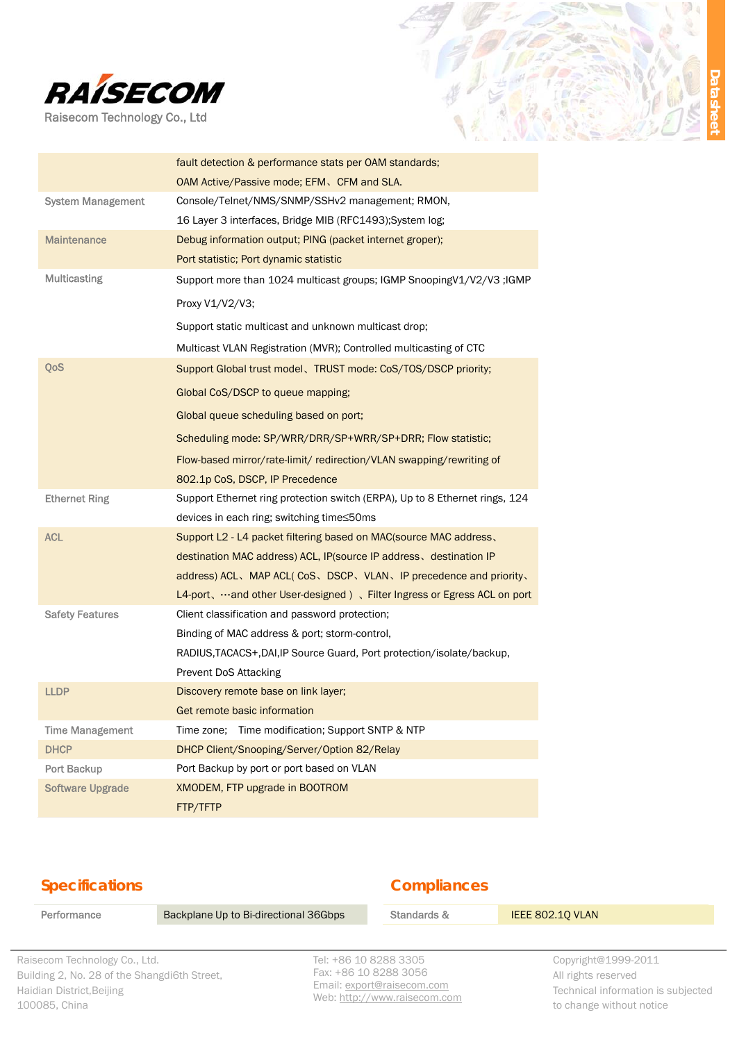

|                          | fault detection & performance stats per OAM standards;                      |
|--------------------------|-----------------------------------------------------------------------------|
|                          | OAM Active/Passive mode; EFM, CFM and SLA.                                  |
| <b>System Management</b> | Console/Telnet/NMS/SNMP/SSHv2 management; RMON,                             |
|                          | 16 Layer 3 interfaces, Bridge MIB (RFC1493); System log;                    |
| <b>Maintenance</b>       | Debug information output; PING (packet internet groper);                    |
|                          | Port statistic; Port dynamic statistic                                      |
| <b>Multicasting</b>      | Support more than 1024 multicast groups; IGMP SnoopingV1/V2/V3 ;IGMP        |
|                          | Proxy V1/V2/V3;                                                             |
|                          | Support static multicast and unknown multicast drop;                        |
|                          | Multicast VLAN Registration (MVR); Controlled multicasting of CTC           |
| QoS                      | Support Global trust model, TRUST mode: CoS/TOS/DSCP priority;              |
|                          | Global CoS/DSCP to queue mapping;                                           |
|                          | Global queue scheduling based on port;                                      |
|                          | Scheduling mode: SP/WRR/DRR/SP+WRR/SP+DRR; Flow statistic;                  |
|                          | Flow-based mirror/rate-limit/ redirection/VLAN swapping/rewriting of        |
|                          | 802.1p CoS, DSCP, IP Precedence                                             |
|                          |                                                                             |
| <b>Ethernet Ring</b>     | Support Ethernet ring protection switch (ERPA), Up to 8 Ethernet rings, 124 |
|                          | devices in each ring; switching time≤50ms                                   |
| <b>ACL</b>               | Support L2 - L4 packet filtering based on MAC(source MAC address,           |
|                          | destination MAC address) ACL, IP(source IP address, destination IP          |
|                          | address) ACL, MAP ACL(CoS, DSCP, VLAN, IP precedence and priority,          |
|                          | L4-port, …and other User-designed), Filter Ingress or Egress ACL on port    |
| <b>Safety Features</b>   | Client classification and password protection;                              |
|                          | Binding of MAC address & port; storm-control,                               |
|                          | RADIUS, TACACS+, DAI, IP Source Guard, Port protection/isolate/backup,      |
|                          | Prevent DoS Attacking                                                       |
| <b>LLDP</b>              | Discovery remote base on link layer;                                        |
|                          | Get remote basic information                                                |
| <b>Time Management</b>   | Time zone; Time modification; Support SNTP & NTP                            |
| <b>DHCP</b>              | DHCP Client/Snooping/Server/Option 82/Relay                                 |
| Port Backup              | Port Backup by port or port based on VLAN                                   |
| <b>Software Upgrade</b>  | XMODEM, FTP upgrade in BOOTROM                                              |

## **Specifications**

#### **Compliances**

Performance **Backplane Up to Bi-directional 36Gbps** Standards & **IEEE 802.1Q VLAN** 

Raisecom Technology Co., Ltd. Building 2, No. 28 of the Shangdi6th Street, Haidian District,Beijing 100085, China

Tel: +86 10 8288 3305 Fax: +86 10 8288 3056 Email: export@raisecom.com Web: http://www.raisecom.com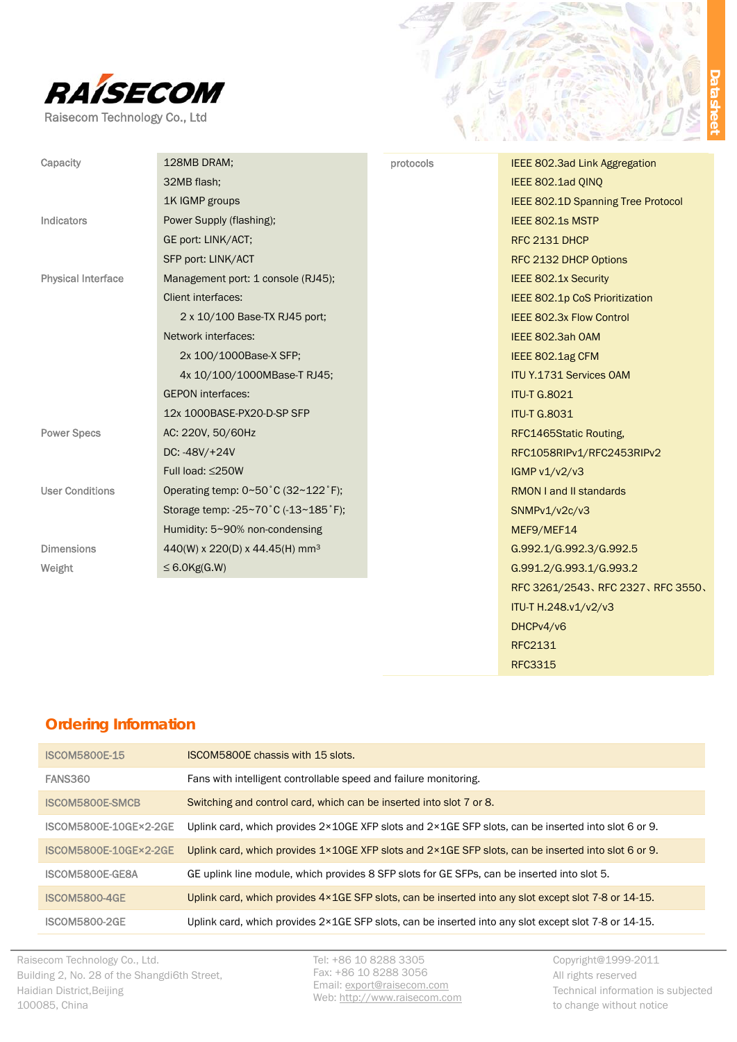

| Capacity                  | 128MB DRAM;                                | protocols | IEEE 802.3ad Link Aggregation      |
|---------------------------|--------------------------------------------|-----------|------------------------------------|
|                           | 32MB flash;                                |           | IEEE 802.1ad QINQ                  |
|                           | 1K IGMP groups                             |           | IEEE 802.1D Spanning Tree Protocol |
| Indicators                | Power Supply (flashing);                   |           | IEEE 802.1s MSTP                   |
|                           | GE port: LINK/ACT;                         |           | RFC 2131 DHCP                      |
|                           | SFP port: LINK/ACT                         |           | RFC 2132 DHCP Options              |
| <b>Physical Interface</b> | Management port: 1 console (RJ45);         |           | IEEE 802.1x Security               |
|                           | Client interfaces:                         |           | IEEE 802.1p CoS Prioritization     |
|                           | 2 x 10/100 Base-TX RJ45 port;              |           | IEEE 802.3x Flow Control           |
|                           | Network interfaces:                        |           | IEEE 802.3ah OAM                   |
|                           | 2x 100/1000Base-X SFP;                     |           | IEEE 802.1ag CFM                   |
|                           | 4x 10/100/1000MBase-T RJ45;                |           | <b>ITU Y.1731 Services OAM</b>     |
|                           | <b>GEPON</b> interfaces:                   |           | <b>ITU-T G.8021</b>                |
|                           | 12x 1000BASE-PX20-D-SP SFP                 |           | <b>ITU-T G.8031</b>                |
| <b>Power Specs</b>        | AC: 220V, 50/60Hz                          |           | RFC1465Static Routing,             |
|                           | DC: -48V/+24V                              |           | RFC1058RIPv1/RFC2453RIPv2          |
|                           | Full load: $\leq$ 250W                     |           | IGMP v1/v2/v3                      |
| <b>User Conditions</b>    | Operating temp: 0~50°C (32~122°F);         |           | <b>RMON I and II standards</b>     |
|                           | Storage temp: -25~70°C (-13~185°F);        |           | SNMPv1/v2c/v3                      |
|                           | Humidity: 5~90% non-condensing             |           | MEF9/MEF14                         |
| <b>Dimensions</b>         | 440(W) x 220(D) x 44.45(H) mm <sup>3</sup> |           | G.992.1/G.992.3/G.992.5            |
| Weight                    | $\leq$ 6.0Kg(G.W)                          |           | G.991.2/G.993.1/G.993.2            |
|                           |                                            |           | RFC 3261/2543、RFC 2327、RFC 3550、   |
|                           |                                            |           | ITU-T H.248.v1/v2/v3               |
|                           |                                            |           | DHCPv4/v6                          |
|                           |                                            |           | RFC2131                            |
|                           |                                            |           | <b>RFC3315</b>                     |
|                           |                                            |           |                                    |

## **Ordering Information**

| <b>ISCOM5800E-15</b>         | <b>ISCOM5800E chassis with 15 slots.</b>                                                                                |
|------------------------------|-------------------------------------------------------------------------------------------------------------------------|
| <b>FANS360</b>               | Fans with intelligent controllable speed and failure monitoring.                                                        |
| ISCOM5800E-SMCB              | Switching and control card, which can be inserted into slot 7 or 8.                                                     |
| ISCOM5800E-10GE×2-2GE        | Uplink card, which provides $2 \times 10$ GE XFP slots and $2 \times 1$ GE SFP slots, can be inserted into slot 6 or 9. |
| <b>ISCOM5800E-10GE×2-2GE</b> | Uplink card, which provides 1×10GE XFP slots and 2×1GE SFP slots, can be inserted into slot 6 or 9.                     |
| ISCOM5800E-GE8A              | GE uplink line module, which provides 8 SFP slots for GE SFPs, can be inserted into slot 5.                             |
| <b>ISCOM5800-4GE</b>         | Uplink card, which provides 4×1GE SFP slots, can be inserted into any slot except slot 7-8 or 14-15.                    |
| <b>ISCOM5800-2GE</b>         | Uplink card, which provides 2×1GE SFP slots, can be inserted into any slot except slot 7-8 or 14-15.                    |

Raisecom Technology Co., Ltd. Building 2, No. 28 of the Shangdi6th Street, Haidian District,Beijing 100085, China

Tel: +86 10 8288 3305 Fax: +86 10 8288 3056 Email: export@raisecom.com Web: http://www.raisecom.com